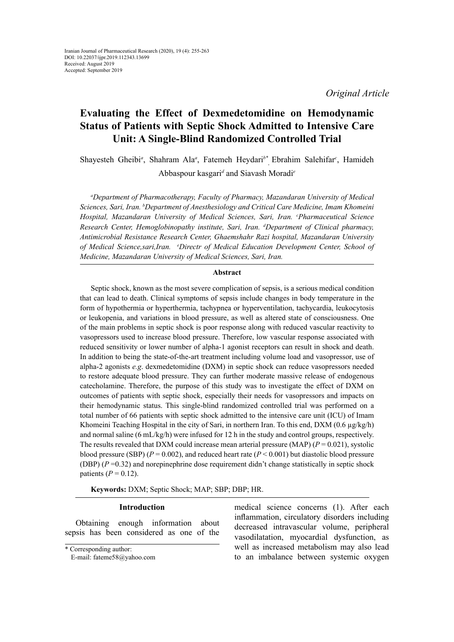*Original Article*

# **Evaluating the Effect of Dexmedetomidine on Hemodynamic Status of Patients with Septic Shock Admitted to Intensive Care Unit: A Single-Blind Randomized Controlled Trial**

Shayesteh Gheibi*<sup>a</sup>* , Shahram Ala*<sup>a</sup>* , Fatemeh Heydari*b\** , Ebrahim Salehifar*<sup>c</sup>* , Hamideh Abbaspour kasgari*<sup>d</sup>* and Siavash Moradi*<sup>e</sup>*

*a Department of Pharmacotherapy, Faculty of Pharmacy, Mazandaran University of Medical Sciences, Sari, Iran. b Department of Anesthesiology and Critical Care Medicine, Imam Khomeini Hospital, Mazandaran University of Medical Sciences, Sari, Iran. c Pharmaceutical Science Research Center, Hemoglobinopathy institute, Sari, Iran. d Department of Clinical pharmacy, Antimicrobial Resistance Research Center, Ghaemshahr Razi hospital, Mazandaran University of Medical Science,sari,Iran. e Directr of Medical Education Development Center, School of Medicine, Mazandaran University of Medical Sciences, Sari, Iran.*

## **Abstract**

Septic shock, known as the most severe complication of sepsis, is a serious medical condition that can lead to death. Clinical symptoms of sepsis include changes in body temperature in the form of hypothermia or hyperthermia, tachypnea or hyperventilation, tachycardia, leukocytosis or leukopenia, and variations in blood pressure, as well as altered state of consciousness. One of the main problems in septic shock is poor response along with reduced vascular reactivity to vasopressors used to increase blood pressure. Therefore, low vascular response associated with reduced sensitivity or lower number of alpha-1 agonist receptors can result in shock and death. In addition to being the state-of-the-art treatment including volume load and vasopressor, use of alpha-2 agonists *e.g*. dexmedetomidine (DXM) in septic shock can reduce vasopressors needed to restore adequate blood pressure. They can further moderate massive release of endogenous catecholamine. Therefore, the purpose of this study was to investigate the effect of DXM on outcomes of patients with septic shock, especially their needs for vasopressors and impacts on their hemodynamic status. This single-blind randomized controlled trial was performed on a total number of 66 patients with septic shock admitted to the intensive care unit (ICU) of Imam Khomeini Teaching Hospital in the city of Sari, in northern Iran. To this end, DXM  $(0.6 \mu g/kg/h)$ and normal saline (6 mL/kg/h) were infused for 12 h in the study and control groups, respectively. The results revealed that DXM could increase mean arterial pressure (MAP)  $(P = 0.021)$ , systolic blood pressure (SBP)  $(P = 0.002)$ , and reduced heart rate  $(P < 0.001)$  but diastolic blood pressure (DBP) (*P* =0.32) and norepinephrine dose requirement didn't change statistically in septic shock patients  $(P = 0.12)$ .

**Keywords:** DXM; Septic Shock; MAP; SBP; DBP; HR.

#### **Introduction**

Obtaining enough information about sepsis has been considered as one of the

\* Corresponding author:

medical science concerns (1). After each inflammation, circulatory disorders including decreased intravascular volume, peripheral vasodilatation, myocardial dysfunction, as well as increased metabolism may also lead to an imbalance between systemic oxygen

E-mail: [fateme58@yahoo.com](mailto:fateme58@yahoo.com)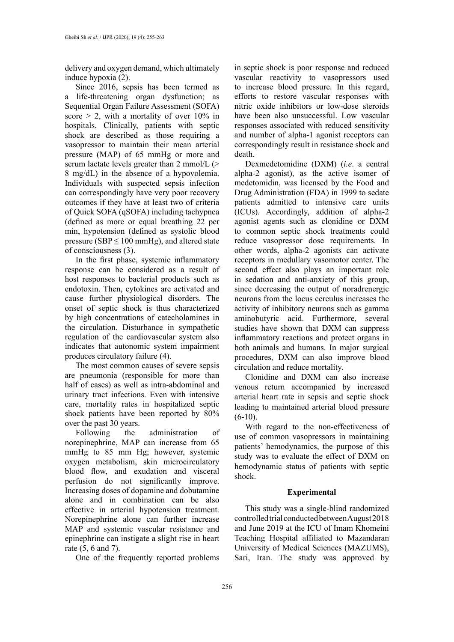delivery and oxygen demand, which ultimately induce hypoxia (2).

Since 2016, sepsis has been termed as a life-threatening organ dysfunction; as Sequential Organ Failure Assessment (SOFA) score  $> 2$ , with a mortality of over 10% in hospitals. Clinically, patients with septic shock are described as those requiring a vasopressor to maintain their mean arterial pressure (MAP) of 65 mmHg or more and serum lactate levels greater than 2 mmol/L (> 8 mg/dL) in the absence of a hypovolemia. Individuals with suspected sepsis infection can correspondingly have very poor recovery outcomes if they have at least two of criteria of Quick SOFA (qSOFA) including tachypnea (defined as more or equal breathing 22 per min, hypotension (defined as systolic blood pressure (SBP  $\leq$  100 mmHg), and altered state of consciousness (3).

In the first phase, systemic inflammatory response can be considered as a result of host responses to bacterial products such as endotoxin. Then, cytokines are activated and cause further physiological disorders. The onset of septic shock is thus characterized by high concentrations of catecholamines in the circulation. Disturbance in sympathetic regulation of the cardiovascular system also indicates that autonomic system impairment produces circulatory failure (4).

The most common causes of severe sepsis are pneumonia (responsible for more than half of cases) as well as intra-abdominal and urinary tract infections. Even with intensive care, mortality rates in hospitalized septic shock patients have been reported by 80% over the past 30 years.

Following the administration of norepinephrine, MAP can increase from 65 mmHg to 85 mm Hg; however, systemic oxygen metabolism, skin microcirculatory blood flow, and exudation and visceral perfusion do not significantly improve. Increasing doses of dopamine and dobutamine alone and in combination can be also effective in arterial hypotension treatment. Norepinephrine alone can further increase MAP and systemic vascular resistance and epinephrine can instigate a slight rise in heart rate (5, 6 and 7).

One of the frequently reported problems

in septic shock is poor response and reduced vascular reactivity to vasopressors used to increase blood pressure. In this regard, efforts to restore vascular responses with nitric oxide inhibitors or low-dose steroids have been also unsuccessful. Low vascular responses associated with reduced sensitivity and number of alpha-1 agonist receptors can correspondingly result in resistance shock and death.

Dexmedetomidine (DXM) (*i.e*. a central alpha-2 agonist), as the active isomer of medetomidin, was licensed by the Food and Drug Administration (FDA) in 1999 to sedate patients admitted to intensive care units (ICUs). Accordingly, addition of alpha-2 agonist agents such as clonidine or DXM to common septic shock treatments could reduce vasopressor dose requirements. In other words, alpha-2 agonists can activate receptors in medullary vasomotor center. The second effect also plays an important role in sedation and anti-anxiety of this group, since decreasing the output of noradrenergic neurons from the locus cereulus increases the activity of inhibitory neurons such as gamma aminobutyric acid. Furthermore, several studies have shown that DXM can suppress inflammatory reactions and protect organs in both animals and humans. In major surgical procedures, DXM can also improve blood circulation and reduce mortality.

Clonidine and DXM can also increase venous return accompanied by increased arterial heart rate in sepsis and septic shock leading to maintained arterial blood pressure  $(6-10)$ .

With regard to the non-effectiveness of use of common vasopressors in maintaining patients' hemodynamics, the purpose of this study was to evaluate the effect of DXM on hemodynamic status of patients with septic shock.

## **Experimental**

This study was a single-blind randomized controlled trial conducted between August 2018 and June 2019 at the ICU of Imam Khomeini Teaching Hospital affiliated to Mazandaran University of Medical Sciences (MAZUMS), Sari, Iran. The study was approved by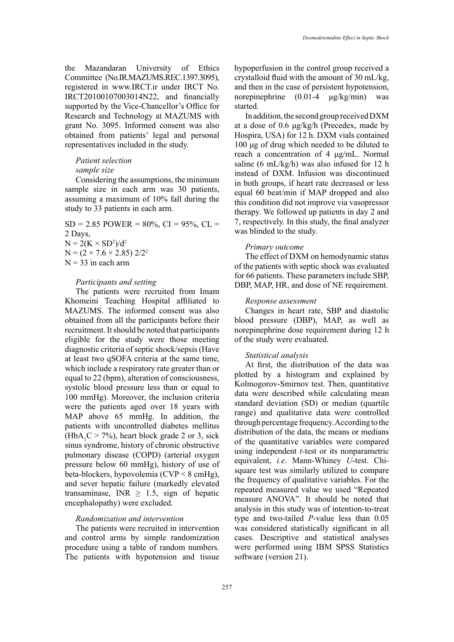the Mazandaran University of Ethics Committee (No.IR.MAZUMS.REC.1397.3095), registered in www.IRCT.ir under IRCT No. IRCT20100107003014N22, and financially supported by the Vice-Chancellor's Office for Research and Technology at MAZUMS with grant No. 3095. Informed consent was also obtained from patients' legal and personal representatives included in the study.

# *Patient selection sample size*

Considering the assumptions, the minimum sample size in each arm was 30 patients, assuming a maximum of 10% fall during the study to 33 patients in each arm.

 $SD = 2.85$  POWER =  $80\%$ , CI =  $95\%$ , CL = 2 Days,  $N = 2(K \times SD^2)/d^2$  $N = (2 \times 7.6 \times 2.85)$  2/2<sup>2</sup>  $N = 33$  in each arm

## *Participants and setting*

The patients were recruited from Imam Khomeini Teaching Hospital affiliated to MAZUMS. The informed consent was also obtained from all the participants before their recruitment. It should be noted that participants eligible for the study were those meeting diagnostic criteria of septic shock/sepsis (Have at least two qSOFA criteria at the same time, which include a respiratory rate greater than or equal to 22 (bpm), alteration of consciousness, systolic blood pressure less than or equal to 100 mmHg). Moreover, the inclusion criteria were the patients aged over 18 years with MAP above 65 mmHg. In addition, the patients with uncontrolled diabetes mellitus  $(HbA_1C > 7%)$ , heart block grade 2 or 3, sick sinus syndrome, history of chronic obstructive pulmonary disease (COPD) (arterial oxygen pressure below 60 mmHg), history of use of beta-blockers, hypovolemia (CVP < 8 cmHg), and sever hepatic failure (markedly elevated transaminase, INR  $\geq$  1.5, sign of hepatic encephalopathy) were excluded.

## *Randomization and intervention*

The patients were recruited in intervention and control arms by simple randomization procedure using a table of random numbers. The patients with hypotension and tissue

hypoperfusion in the control group received a crystalloid fluid with the amount of 30 mL/kg, and then in the case of persistent hypotension, norepinephrine (0.01-4 μg/kg/min) was started.

In addition, the second group received DXM at a dose of 0.6 μg/kg/h (Precedex, made by Hospira, USA) for 12 h. DXM vials contained 100 μg of drug which needed to be diluted to reach a concentration of 4 μg/mL. Normal saline (6 mL/kg/h) was also infused for 12 h instead of DXM. Infusion was discontinued in both groups, if heart rate decreased or less equal 60 beat/min if MAP dropped and also this condition did not improve via vasopressor therapy. We followed up patients in day 2 and 7, respectively. In this study, the final analyzer was blinded to the study.

## *Primary outcome*

The effect of DXM on hemodynamic status of the patients with septic shock was evaluated for 66 patients. These parameters include SBP, DBP, MAP, HR, and dose of NE requirement.

#### *Response assessment*

Changes in heart rate, SBP and diastolic blood pressure (DBP), MAP, as well as norepinephrine dose requirement during 12 h of the study were evaluated.

## *Statistical analysis*

At first, the distribution of the data was plotted by a histogram and explained by Kolmogorov-Smirnov test. Then, quantitative data were described while calculating mean standard deviation (SD) or median (quartile range) and qualitative data were controlled through percentage frequency. According to the distribution of the data, the means or medians of the quantitative variables were compared using independent *t-*test or its nonparametric equivalent, *i.e*. Mann-Whiney *U*-test. Chisquare test was similarly utilized to compare the frequency of qualitative variables. For the repeated measured value we used "Repeated measure ANOVA". It should be noted that analysis in this study was of intention-to-treat type and two-tailed *P*-value less than 0.05 was considered statistically significant in all cases. Descriptive and statistical analyses were performed using IBM SPSS Statistics software (version 21).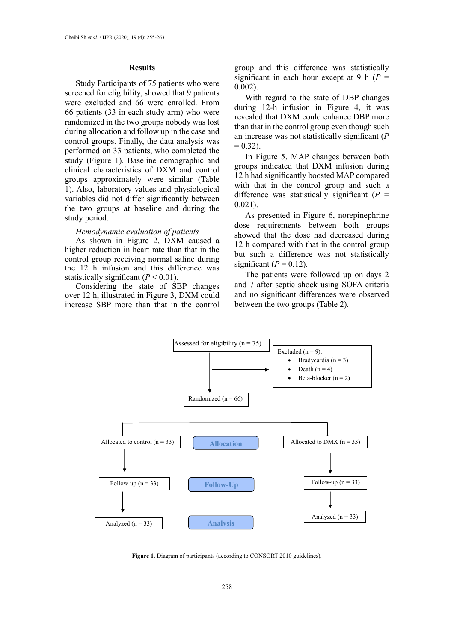#### **Results**

Study Participants of 75 patients who were screened for eligibility, showed that 9 patients were excluded and 66 were enrolled. From 66 patients (33 in each study arm) who were randomized in the two groups nobody was lost during allocation and follow up in the case and control groups. Finally, the data analysis was performed on 33 patients, who completed the study (Figure 1). Baseline demographic and clinical characteristics of DXM and control groups approximately were similar (Table 1). Also, laboratory values and physiological variables did not differ significantly between the two groups at baseline and during the study period.

#### *Hemodynamic evaluation of patients*

As shown in Figure 2, DXM caused a higher reduction in heart rate than that in the control group receiving normal saline during the 12 h infusion and this difference was statistically significant  $(P < 0.01)$ .

Considering the state of SBP changes over 12 h, illustrated in Figure 3, DXM could increase SBP more than that in the control

group and this difference was statistically significant in each hour except at 9 h  $(P =$ 0.002).

With regard to the state of DBP changes during 12-h infusion in Figure 4, it was revealed that DXM could enhance DBP more than that in the control group even though such an increase was not statistically significant (*P*  $= 0.32$ ).

In Figure 5, MAP changes between both groups indicated that DXM infusion during 12 h had significantly boosted MAP compared with that in the control group and such a difference was statistically significant  $(P =$ 0.021).

As presented in Figure 6, norepinephrine dose requirements between both groups showed that the dose had decreased during 12 h compared with that in the control group but such a difference was not statistically significant  $(P = 0.12)$ .

The patients were followed up on days 2 and 7 after septic shock using SOFA criteria and no significant differences were observed between the two groups (Table 2).



**Figure 1.** Diagram of participants (according to CONSORT 2010 guidelines). **Figure 1.** Diagram of participants (according to CONSORT 2010 guidelines).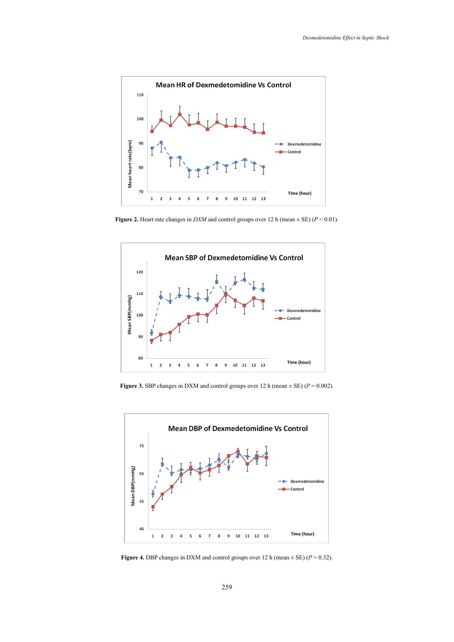

Figure 2. Heart rate changes in  $DXM$  and control groups over 12 h (mean  $\pm$  SE) ( $P < 0.01$ ).



**Figure 3.** SBP changes in DXM and control groups over 12 h (mean  $\pm$  SE) ( $P = 0.002$ ).



**Figure 4.** DBP changes in DXM and control groups over 12 h (mean  $\pm$  SE) ( $P = 0.32$ ).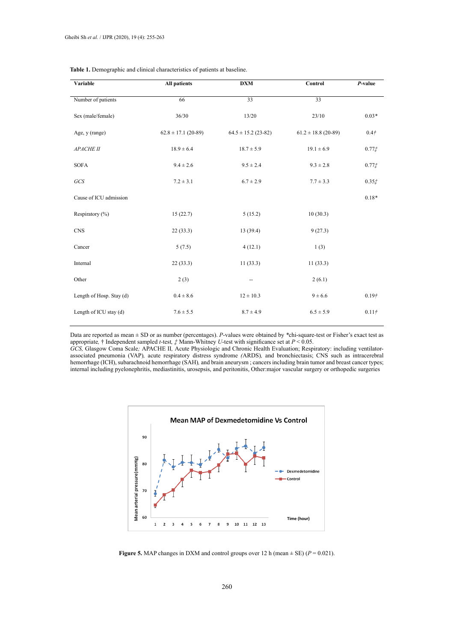| Variable                 | <b>All patients</b>     | <b>DXM</b>              | Control                 | P-value           |
|--------------------------|-------------------------|-------------------------|-------------------------|-------------------|
| Number of patients       | 66                      | $\overline{33}$         | 33                      |                   |
| Sex (male/female)        | 36/30                   | 13/20                   | 23/10                   | $0.03*$           |
| Age, y (range)           | $62.8 \pm 17.1$ (20-89) | $64.5 \pm 15.2$ (23-82) | $61.2 \pm 18.8$ (20-89) | 0.4 <sup>†</sup>  |
| APACHE II                | $18.9 \pm 6.4$          | $18.7 \pm 5.9$          | $19.1 \pm 6.9$          | 0.77 <sub>1</sub> |
| <b>SOFA</b>              | $9.4 \pm 2.6$           | $9.5 \pm 2.4$           | $9.3 \pm 2.8$           | 0.77 <sub>1</sub> |
| GCS                      | $7.2 \pm 3.1$           | $6.7 \pm 2.9$           | $7.7 \pm 3.3$           | 0.35 f            |
| Cause of ICU admission   |                         |                         |                         | $0.18*$           |
| Respiratory (%)          | 15(22.7)                | 5(15.2)                 | 10(30.3)                |                   |
| <b>CNS</b>               | 22(33.3)                | 13(39.4)                | 9(27.3)                 |                   |
| Cancer                   | 5(7.5)                  | 4(12.1)                 | 1(3)                    |                   |
| Internal                 | 22(33.3)                | 11(33.3)                | 11(33.3)                |                   |
| Other                    | 2(3)                    | --                      | 2(6.1)                  |                   |
| Length of Hosp. Stay (d) | $0.4 \pm 8.6$           | $12 \pm 10.3$           | $9 \pm 6.6$             | 0.19 <sup>†</sup> |
| Length of ICU stay (d)   | $7.6 \pm 5.5$           | $8.7 \pm 4.9$           | $6.5 \pm 5.9$           | 0.11 <sup>†</sup> |

**Table 1.** Demographic and clinical characteristics of patients at baseline.

Data are reported as mean ± SD or as number (percentages). *P*-values were obtained by *\**chi-square*-*test or Fisher's exact test as appropriate*,* † Independent sampled *t-*test*, ‡* Mann-Whitney *U*-test with significance set at *P* < 0.05.

GCS, Glasgow Coma Scale; APACHE II, Acute Physiologic and Chronic Health Evaluation; Respiratory: including ventilatorassociated pneumonia (VAP), acute respiratory distress syndrome (ARDS), and [bronchiectasis;](https://www.google.com/search?q=bronchiectasis&spell=1&sa=X&ved=0ahUKEwjX1Jau_8PjAhXDwFkKHcolD5MQkeECCCsoAA&biw=1600&bih=799) CNS such as intracerebral hemorrhage (ICH), subarachnoid hemorrhage (SAH), and brain aneurysm; cancers including brain tumor and breast cancer types; internal including pyelonephritis, mediastinitis, urosepsis, and peritonitis, Other:major vascular surgery or orthopedic surgeries



**Figure 5.** MAP changes in DXM and control groups over 12 h (mean  $\pm$  SE) ( $P = 0.021$ ).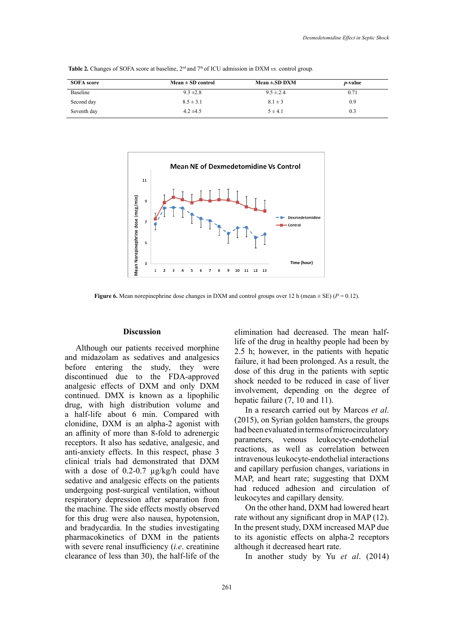| <b>SOFA</b> score | $Mean \pm SD$ control | Mean $\pm$ .SD DXM | <i>p</i> -value |
|-------------------|-----------------------|--------------------|-----------------|
| <b>Baseline</b>   | $9.3 \pm 2.8$         | $9.5 \pm 2.4$      | 0.71            |
| Second day        | $8.5 \pm 3.1$         | $8.1 \pm 3$        | 0.9             |
| Seventh day       | $4.2 \pm 4.5$         | $5 \pm 4.1$        | 0.3             |

Table 2. Changes of SOFA score at baseline,  $2^{nd}$  and  $7<sup>th</sup>$  of ICU admission in DXM vs. control group.



**Figure 6.** Mean norepinephrine dose changes in DXM and control groups over 12 h (mean  $\pm$  SE) ( $P = 0.12$ ).

#### **Discussion**

Although our patients received morphine and midazolam as sedatives and analgesics before entering the study, they were discontinued due to the FDA-approved analgesic effects of DXM and only DXM continued. DMX is known as a lipophilic drug, with high distribution volume and a half-life about 6 min. Compared with clonidine, DXM is an alpha-2 agonist with an affinity of more than 8-fold to adrenergic receptors. It also has sedative, analgesic, and anti-anxiety effects. In this respect, phase 3 clinical trials had demonstrated that DXM with a dose of 0.2-0.7  $\mu$ g/kg/h could have sedative and analgesic effects on the patients undergoing post-surgical ventilation, without respiratory depression after separation from the machine. The side effects mostly observed for this drug were also nausea, hypotension, and bradycardia. In the studies investigating pharmacokinetics of DXM in the patients with severe renal insufficiency (*i.e*. creatinine clearance of less than 30), the half-life of the

elimination had decreased. The mean halflife of the drug in healthy people had been by 2.5 h; however, in the patients with hepatic failure, it had been prolonged. As a result, the dose of this drug in the patients with septic shock needed to be reduced in case of liver involvement, depending on the degree of hepatic failure  $(7, 10 \text{ and } 11)$ .

In a research carried out by Marcos *et al*. (2015), on Syrian golden hamsters, the groups had been evaluated in terms of microcirculatory parameters, venous leukocyte-endothelial reactions, as well as correlation between intravenous leukocyte-endothelial interactions and capillary perfusion changes, variations in MAP, and heart rate; suggesting that DXM had reduced adhesion and circulation of leukocytes and capillary density.

On the other hand, DXM had lowered heart rate without any significant drop in MAP (12). In the present study, DXM increased MAP due to its agonistic effects on alpha-2 receptors although it decreased heart rate.

In another study by Yu *et al*. (2014)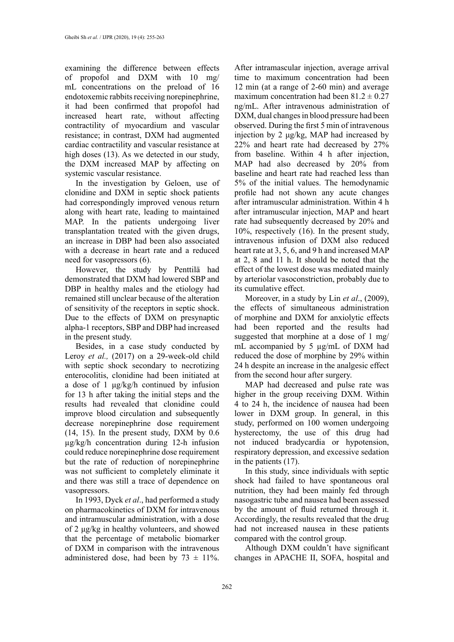examining the difference between effects of propofol and DXM with 10 mg/ mL concentrations on the preload of 16 endotoxemic rabbits receiving norepinephrine, it had been confirmed that propofol had increased heart rate, without affecting contractility of myocardium and vascular resistance; in contrast, DXM had augmented cardiac contractility and vascular resistance at high doses (13). As we detected in our study, the DXM increased MAP by affecting on systemic vascular resistance.

In the investigation by Geloen, use of clonidine and DXM in septic shock patients had correspondingly improved venous return along with heart rate, leading to maintained MAP. In the patients undergoing liver transplantation treated with the given drugs, an increase in DBP had been also associated with a decrease in heart rate and a reduced need for vasopressors (6).

However, the study by Penttilä had demonstrated that DXM had lowered SBP and DBP in healthy males and the etiology had remained still unclear because of the alteration of sensitivity of the receptors in septic shock. Due to the effects of DXM on presynaptic alpha-1 receptors, SBP and DBP had increased in the present study.

Besides, in a case study conducted by Leroy *et al.,* (2017) on a 29-week-old child with septic shock secondary to necrotizing enterocolitis, clonidine had been initiated at a dose of 1 μg/kg/h continued by infusion for 13 h after taking the initial steps and the results had revealed that clonidine could improve blood circulation and subsequently decrease norepinephrine dose requirement (14, 15). In the present study, DXM by 0.6 µg/kg/h concentration during 12-h infusion could reduce norepinephrine dose requirement but the rate of reduction of norepinephrine was not sufficient to completely eliminate it and there was still a trace of dependence on vasopressors.

In 1993, Dyck *et al*., had performed a study on pharmacokinetics of DXM for intravenous and intramuscular administration, with a dose of 2 μg/kg in healthy volunteers, and showed that the percentage of metabolic biomarker of DXM in comparison with the intravenous administered dose, had been by  $73 \pm 11\%$ .

After intramascular injection, average arrival time to maximum concentration had been 12 min (at a range of 2-60 min) and average maximum concentration had been  $81.2 \pm 0.27$ ng/mL. After intravenous administration of DXM, dual changes in blood pressure had been observed. During the first 5 min of intravenous injection by 2 μg/kg, MAP had increased by 22% and heart rate had decreased by 27% from baseline. Within 4 h after injection, MAP had also decreased by 20% from baseline and heart rate had reached less than 5% of the initial values. The hemodynamic profile had not shown any acute changes after intramuscular administration. Within 4 h after intramuscular injection, MAP and heart rate had subsequently decreased by 20% and 10%, respectively (16). In the present study, intravenous infusion of DXM also reduced heart rate at 3, 5, 6, and 9 h and increased MAP at 2, 8 and 11 h. It should be noted that the effect of the lowest dose was mediated mainly by arteriolar vasoconstriction, probably due to its cumulative effect.

Moreover, in a study by Lin *et al*., (2009), the effects of simultaneous administration of morphine and DXM for anxiolytic effects had been reported and the results had suggested that morphine at a dose of 1 mg/ mL accompanied by 5 µg/mL of DXM had reduced the dose of morphine by 29% within 24 h despite an increase in the analgesic effect from the second hour after surgery.

MAP had decreased and pulse rate was higher in the group receiving DXM. Within 4 to 24 h, the incidence of nausea had been lower in DXM group. In general, in this study, performed on 100 women undergoing hysterectomy, the use of this drug had not induced bradycardia or hypotension, respiratory depression, and excessive sedation in the patients (17).

In this study, since individuals with septic shock had failed to have spontaneous oral nutrition, they had been mainly fed through nasogastric tube and nausea had been assessed by the amount of fluid returned through it. Accordingly, the results revealed that the drug had not increased nausea in these patients compared with the control group.

Although DXM couldn't have significant changes in APACHE II, SOFA, hospital and